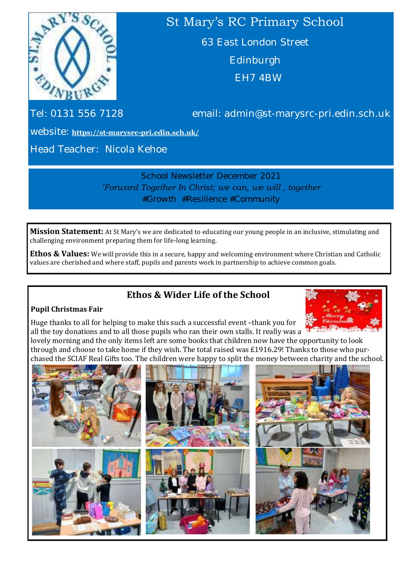

# St Mary's RC Primary School

63 East London Street Edinburgh EH7 4BW

Tel: 0131 556 7128 email: admin@st-marysrc-pri.edin.sch.uk

website: **https://st-marysrc-[pri.edin.sch.uk/](https://st-marysrc-pri.edin.sch.uk/)**

Head Teacher: Nicola Kehoe

School Newsletter December 2021 *'Forward Together In Christ; we can, we will , together #Growth #Resilience #Community*

**Mission Statement:** At St Mary's we are dedicated to educating our young people in an inclusive, stimulating and challenging environment preparing them for life-long learning.

**Ethos & Values:** We will provide this in a secure, happy and welcoming environment where Christian and Catholic values are cherished and where staff, pupils and parents work in partnership to achieve common goals.

# **Ethos & Wider Life of the School**

### **Pupil Christmas Fair**



Huge thanks to all for helping to make this such a successful event –thank you for all the toy donations and to all those pupils who ran their own stalls. It really was a

lovely morning and the only items left are some books that children now have the opportunity to look through and choose to take home if they wish. The total raised was £1916.29! Thanks to those who purchased the SCIAF Real Gifts too. The children were happy to split the money between charity and the school.

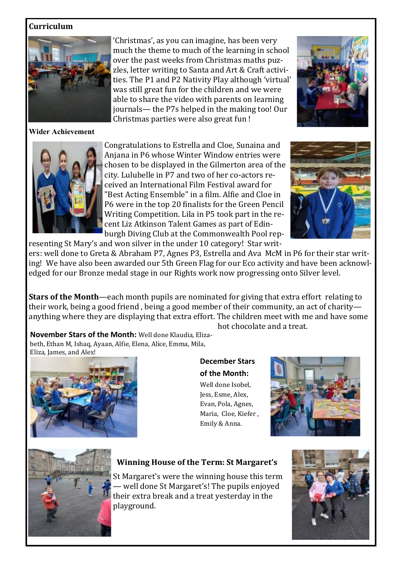### **Curriculum**



**Wider Achievement**

'Christmas', as you can imagine, has been very much the theme to much of the learning in school over the past weeks from Christmas maths puzzles, letter writing to Santa and Art & Craft activities. The P1 and P2 Nativity Play although 'virtual' was still great fun for the children and we were able to share the video with parents on learning journals— the P7s helped in the making too! Our Christmas parties were also great fun !





Congratulations to Estrella and Cloe, Sunaina and Anjana in P6 whose Winter Window entries were chosen to be displayed in the Gilmerton area of the city. Lulubelle in P7 and two of her co-actors received an International Film Festival award for "Best Acting Ensemble" in a film. Alfie and Cloe in P6 were in the top 20 finalists for the Green Pencil Writing Competition. Lila in P5 took part in the recent Liz Atkinson Talent Games as part of Edinburgh Diving Club at the Commonwealth Pool representing St Mary's and won silver in the under 10 category! Star writ-



ers: well done to Greta & Abraham P7, Agnes P3, Estrella and Ava McM in P6 for their star writing! We have also been awarded our 5th Green Flag for our Eco activity and have been acknowledged for our Bronze medal stage in our Rights work now progressing onto Silver level.

**Stars of the Month**—each month pupils are nominated for giving that extra effort relating to their work, being a good friend , being a good member of their community, an act of charity anything where they are displaying that extra effort. The children meet with me and have some hot chocolate and a treat.

**November Stars of the Month:** Well done Klaudia, Elizabeth, Ethan M, Ishaq, Ayaan, Alfie, Elena, Alice, Emma, Mila, Eliza, James, and Alex!



**December Stars of the Month:**  Well done Isobel, Jess, Esme, Alex, Evan, Pola, Agnes, Maria, Cloe, Kiefer , Emily & Anna.





### **Winning House of the Term: St Margaret's**

St Margaret's were the winning house this term — well done St Margaret's! The pupils enjoyed their extra break and a treat yesterday in the playground.

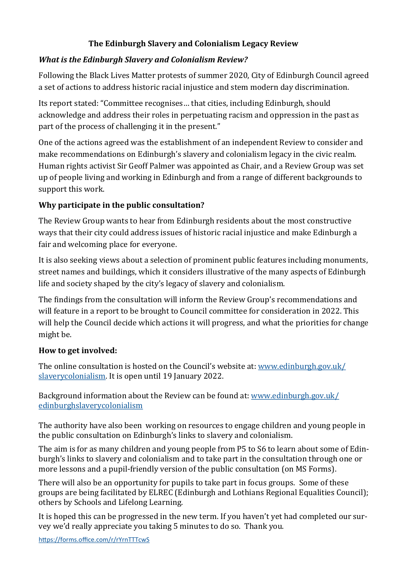# **The Edinburgh Slavery and Colonialism Legacy Review**

# *What is the Edinburgh Slavery and Colonialism Review?*

Following the Black Lives Matter protests of summer 2020, City of Edinburgh Council agreed a set of actions to address historic racial injustice and stem modern day discrimination.

Its report stated: "Committee recognises… that cities, including Edinburgh, should acknowledge and address their roles in perpetuating racism and oppression in the past as part of the process of challenging it in the present."

One of the actions agreed was the establishment of an independent Review to consider and make recommendations on Edinburgh's slavery and colonialism legacy in the civic realm. Human rights activist Sir Geoff Palmer was appointed as Chair, and a Review Group was set up of people living and working in Edinburgh and from a range of different backgrounds to support this work.

# **Why participate in the public consultation?**

The Review Group wants to hear from Edinburgh residents about the most constructive ways that their city could address issues of historic racial injustice and make Edinburgh a fair and welcoming place for everyone.

It is also seeking views about a selection of prominent public features including monuments, street names and buildings, which it considers illustrative of the many aspects of Edinburgh life and society shaped by the city's legacy of slavery and colonialism.

The findings from the consultation will inform the Review Group's recommendations and will feature in a report to be brought to Council committee for consideration in 2022. This will help the Council decide which actions it will progress, and what the priorities for change might be.

# **How to get involved:**

The online consultation is hosted on the Council's website at: [www.edinburgh.gov.uk/](https://www.edinburgh.gov.uk/slaverycolonialism) [slaverycolonialism.](https://www.edinburgh.gov.uk/slaverycolonialism) It is open until 19 January 2022.

Background information about the Review can be found at: [www.edinburgh.gov.uk/](http://www.edinburgh.gov.uk/edinburghslaverycolonialism) [edinburghslaverycolonialism](http://www.edinburgh.gov.uk/edinburghslaverycolonialism)

The authority have also been working on resources to engage children and young people in the public consultation on Edinburgh's links to slavery and colonialism.

The aim is for as many children and young people from P5 to S6 to learn about some of Edinburgh's links to slavery and colonialism and to take part in the consultation through one or more lessons and a pupil-friendly version of the public consultation (on MS Forms).

There will also be an opportunity for pupils to take part in focus groups. Some of these groups are being facilitated by ELREC (Edinburgh and Lothians Regional Equalities Council); others by Schools and Lifelong Learning.

It is hoped this can be progressed in the new term. If you haven't yet had completed our survey we'd really appreciate you taking 5 minutes to do so. Thank you.

<https://forms.office.com/r/rYrnTTTcwS>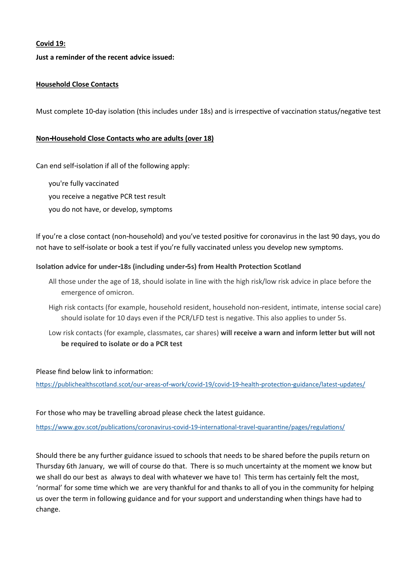#### **Covid 19:**

#### **Just a reminder of the recent advice issued:**

#### **Household Close Contacts**

Must complete 10-day isolation (this includes under 18s) and is irrespective of vaccination status/negative test

#### **Non-Household Close Contacts who are adults (over 18)**

Can end self-isolation if all of the following apply:

you're fully vaccinated

you receive a negative PCR test result

you do not have, or develop, symptoms

If you're a close contact (non-household) and you've tested positive for coronavirus in the last 90 days, you do not have to self-isolate or book a test if you're fully vaccinated unless you develop new symptoms.

#### **Isolation advice for under-18s (including under-5s) from Health Protection Scotland**

- All those under the age of 18, should isolate in line with the high risk/low risk advice in place before the emergence of omicron.
- High risk contacts (for example, household resident, household non-resident, intimate, intense social care) should isolate for 10 days even if the PCR/LFD test is negative. This also applies to under 5s.
- Low risk contacts (for example, classmates, car shares) **will receive a warn and inform letter but will not be required to isolate or do a PCR test**

Please find below link to information:

<https://publichealthscotland.scot/our-areas-of-work/covid-19/covid-19-health-protection-guidance/latest-updates/>

For those who may be travelling abroad please check the latest guidance.

<https://www.gov.scot/publications/coronavirus-covid-19-international-travel-quarantine/pages/regulations/>

Should there be any further guidance issued to schools that needs to be shared before the pupils return on Thursday 6th January, we will of course do that. There is so much uncertainty at the moment we know but we shall do our best as always to deal with whatever we have to! This term has certainly felt the most, 'normal' for some time which we are very thankful for and thanks to all of you in the community for helping us over the term in following guidance and for your support and understanding when things have had to change.